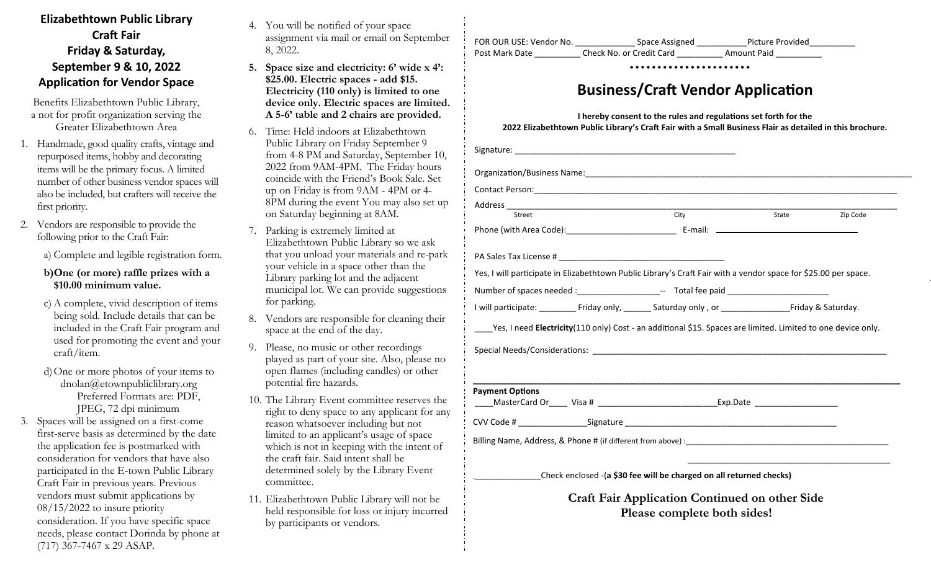## **Elizabethtown Public Library Craft Fair Friday & Saturday, September 9 & 10, 2022 Application for Vendor Space**

Benefits Elizabethtown Public Library, a not for profit organization serving the Greater Elizabethtown Area

- 1. Handmade, good quality crafts, vintage and repurposed items, hobby and decorating items will be the primary focus. A limited number of other business vendor spaces will also be included, but crafters will receive the first priority.
- 2. Vendors are responsible to provide the following prior to the Craft Fair:

a) Complete and legible registration form.

## **b)One (or more) raffle prizes with a \$10.00 minimum value.**

- c) A complete, vivid description of items being sold. Include details that can be included in the Craft Fair program and used for promoting the event and your craft/item.
- d)One or more photos of your items to dnolan@etownpubliclibrary.org Preferred Formats are: PDF, JPEG, 72 dpi minimum
- 3. Spaces will be assigned on a first-come first-serve basis as determined by the date the application fee is postmarked with consideration for vendors that have also participated in the E-town Public Library Craft Fair in previous years. Previous vendors must submit applications by 08/15/2022 to insure priority consideration. If you have specific space needs, please contact Dorinda by phone at (717) 367-7467 x 29 ASAP.
- 4. You will be notified of your space assignment via mail or email on September 8, 2022.
- **5. Space size and electricity: 6' wide x 4': \$25.00. Electric spaces - add \$15. Electricity (110 only) is limited to one device only. Electric spaces are limited. A 5-6' table and 2 chairs are provided.**
- 6. Time: Held indoors at Elizabethtown Public Library on Friday September 9 from 4-8 PM and Saturday, September 10, 2022 from 9AM-4PM. The Friday hours coincide with the Friend's Book Sale. Set up on Friday is from 9AM - 4PM or 4- 8PM during the event You may also set up on Saturday beginning at 8AM.
- 7. Parking is extremely limited at Elizabethtown Public Library so we ask that you unload your materials and re-park your vehicle in a space other than the Library parking lot and the adjacent municipal lot. We can provide suggestions for parking.
- 8. Vendors are responsible for cleaning their space at the end of the day.
- 9. Please, no music or other recordings played as part of your site. Also, please no open flames (including candles) or other potential fire hazards.
- 10. The Library Event committee reserves the right to deny space to any applicant for any reason whatsoever including but not limited to an applicant's usage of space which is not in keeping with the intent of the craft fair. Said intent shall be determined solely by the Library Event committee.
- 11. Elizabethtown Public Library will not be held responsible for loss or injury incurred by participants or vendors.

| FOR OUR USE: Vendor No. | Space Assigned           | Picture Provided |  |
|-------------------------|--------------------------|------------------|--|
| Post Mark Date          | Check No. or Credit Card | Amount Paid      |  |

## **Business/Craft Vendor Application**

**I hereby consent to the rules and regulations set forth for the 2022 Elizabethtown Public Library's Craft Fair with a Small Business Flair as detailed in this brochure.**

| Organization/Business Name: 1980 Manual Communication of the Communication of the Communication of the Communication of the Communication of the Communication of the Communication of the Communication of the Communication |                                                                                      |       |          |  |  |
|-------------------------------------------------------------------------------------------------------------------------------------------------------------------------------------------------------------------------------|--------------------------------------------------------------------------------------|-------|----------|--|--|
|                                                                                                                                                                                                                               |                                                                                      |       |          |  |  |
| Street                                                                                                                                                                                                                        | $\overline{City}$                                                                    | State | Zip Code |  |  |
|                                                                                                                                                                                                                               |                                                                                      |       |          |  |  |
|                                                                                                                                                                                                                               |                                                                                      |       |          |  |  |
| Yes, I will participate in Elizabethtown Public Library's Craft Fair with a vendor space for \$25.00 per space.                                                                                                               |                                                                                      |       |          |  |  |
| Number of spaces needed :______________________-- Total fee paid _______________                                                                                                                                              |                                                                                      |       |          |  |  |
|                                                                                                                                                                                                                               |                                                                                      |       |          |  |  |
|                                                                                                                                                                                                                               |                                                                                      |       |          |  |  |
| <b>Payment Options</b>                                                                                                                                                                                                        |                                                                                      |       |          |  |  |
|                                                                                                                                                                                                                               |                                                                                      |       |          |  |  |
|                                                                                                                                                                                                                               |                                                                                      |       |          |  |  |
|                                                                                                                                                                                                                               |                                                                                      |       |          |  |  |
|                                                                                                                                                                                                                               | Check enclosed -(a \$30 fee will be charged on all returned checks)                  |       |          |  |  |
|                                                                                                                                                                                                                               | <b>Craft Fair Application Continued on other Side</b><br>Please complete both sides! |       |          |  |  |